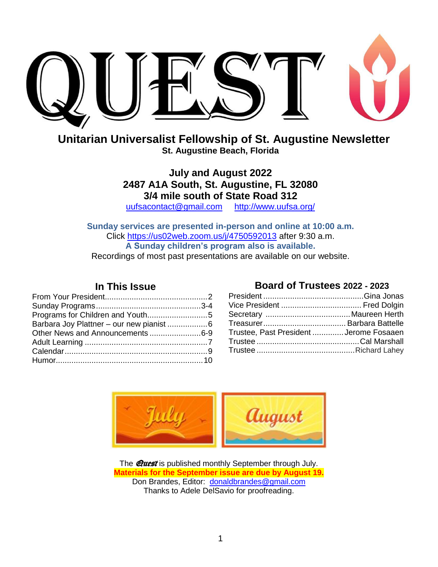

**Unitarian Universalist Fellowship of St. Augustine Newsletter St. Augustine Beach, Florida**

> **July and August 2022 2487 A1A South, St. Augustine, FL 32080 3/4 mile south of State Road 312**

[uufsacontact@gmail.com](mailto:uufsacontact@gmail.com) <http://www.uufsa.org/>

**Sunday services are presented in-person and online at 10:00 a.m.** Click<https://us02web.zoom.us/j/4750592013> after 9:30 a.m. **A Sunday children's program also is available.** Recordings of most past presentations are available on our website.

#### **In This Issue**

| Programs for Children and Youth5 |  |
|----------------------------------|--|
|                                  |  |
| Other News and Announcements6-9  |  |
|                                  |  |
|                                  |  |
|                                  |  |

#### **Board of Trustees 2022 - 2023**

| Trustee, Past President  Jerome Fosaaen |  |
|-----------------------------------------|--|
|                                         |  |
|                                         |  |
|                                         |  |



The **@uest** is published monthly September through July. **Materials for the September issue are due by August 19.** Don Brandes, Editor: [donaldbrandes@gmail.com](file:///C:/Users/Don/Documents/8-UU/Quest/2016%2012/donaldbrandes@gmail.com) Thanks to Adele DelSavio for proofreading.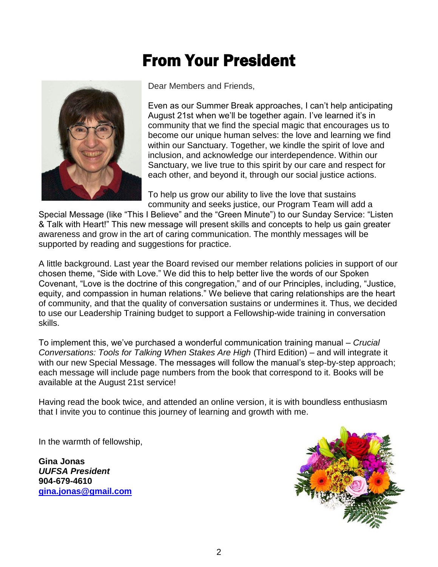# From Your President



Dear Members and Friends,

Even as our Summer Break approaches, I can't help anticipating August 21st when we'll be together again. I've learned it's in community that we find the special magic that encourages us to become our unique human selves: the love and learning we find within our Sanctuary. Together, we kindle the spirit of love and inclusion, and acknowledge our interdependence. Within our Sanctuary, we live true to this spirit by our care and respect for each other, and beyond it, through our social justice actions.

To help us grow our ability to live the love that sustains community and seeks justice, our Program Team will add a

Special Message (like "This I Believe" and the "Green Minute") to our Sunday Service: "Listen & Talk with Heart!" This new message will present skills and concepts to help us gain greater awareness and grow in the art of caring communication. The monthly messages will be supported by reading and suggestions for practice.

A little background. Last year the Board revised our member relations policies in support of our chosen theme, "Side with Love." We did this to help better live the words of our Spoken Covenant, "Love is the doctrine of this congregation," and of our Principles, including, "Justice, equity, and compassion in human relations." We believe that caring relationships are the heart of community, and that the quality of conversation sustains or undermines it. Thus, we decided to use our Leadership Training budget to support a Fellowship-wide training in conversation skills.

To implement this, we've purchased a wonderful communication training manual – *Crucial Conversations: Tools for Talking When Stakes Are High* (Third Edition) – and will integrate it with our new Special Message. The messages will follow the manual's step-by-step approach: each message will include page numbers from the book that correspond to it. Books will be available at the August 21st service!

Having read the book twice, and attended an online version, it is with boundless enthusiasm that I invite you to continue this journey of learning and growth with me.

In the warmth of fellowship,

**Gina Jonas** *UUFSA President*  **904-679-4610 [gina.jonas@gmail.com](mailto:gina.jonas@gmail.com)**

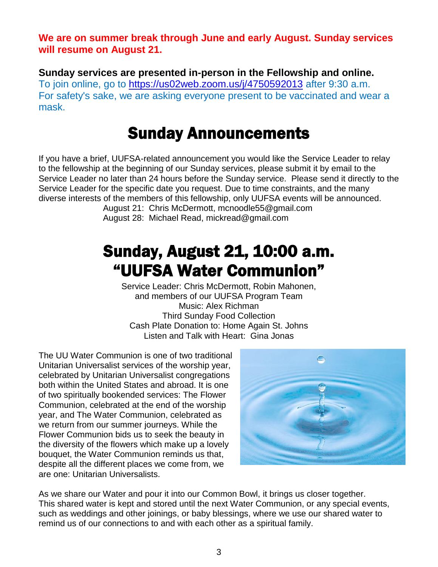**We are on summer break through June and early August. Sunday services will resume on August 21.**

**Sunday services are presented in-person in the Fellowship and online.** To join online, go to<https://us02web.zoom.us/j/4750592013> [after 9:30](https://us02web.zoom.us/j/4750592013) a.m. For safety's sake, we are asking everyone present to be vaccinated and wear a mask.

### Sunday Announcements

If you have a brief, UUFSA-related announcement you would like the Service Leader to relay to the fellowship at the beginning of our Sunday services, please submit it by email to the Service Leader no later than 24 hours before the Sunday service. Please send it directly to the Service Leader for the specific date you request. Due to time constraints, and the many diverse interests of the members of this fellowship, only UUFSA events will be announced.

August 21: Chris McDermott, mcnoodle55@gmail.com August 28: Michael Read, mickread@gmail.com

## Sunday, August 21, 10:00 a.m. "UUFSA Water Communion"

Service Leader: Chris McDermott, Robin Mahonen, and members of our UUFSA Program Team Music: Alex Richman Third Sunday Food Collection Cash Plate Donation to: Home Again St. Johns Listen and Talk with Heart: Gina Jonas

The UU Water Communion is one of two traditional Unitarian Universalist services of the worship year, celebrated by Unitarian Universalist congregations both within the United States and abroad. It is one of two spiritually bookended services: The Flower Communion, celebrated at the end of the worship year, and The Water Communion, celebrated as we return from our summer journeys. While the Flower Communion bids us to seek the beauty in the diversity of the flowers which make up a lovely bouquet, the Water Communion reminds us that, despite all the different places we come from, we are one: Unitarian Universalists.



As we share our Water and pour it into our Common Bowl, it brings us closer together. This shared water is kept and stored until the next Water Communion, or any special events, such as weddings and other joinings, or baby blessings, where we use our shared water to remind us of our connections to and with each other as a spiritual family.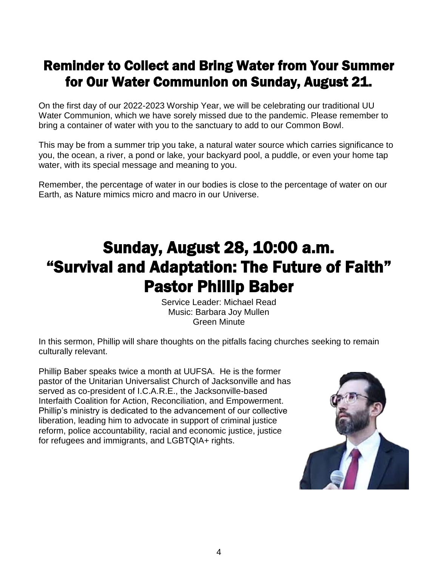#### Reminder to Collect and Bring Water from Your Summer for Our Water Communion on Sunday, August 21.

On the first day of our 2022-2023 Worship Year, we will be celebrating our traditional UU Water Communion, which we have sorely missed due to the pandemic. Please remember to bring a container of water with you to the sanctuary to add to our Common Bowl.

This may be from a summer trip you take, a natural water source which carries significance to you, the ocean, a river, a pond or lake, your backyard pool, a puddle, or even your home tap water, with its special message and meaning to you.

Remember, the percentage of water in our bodies is close to the percentage of water on our Earth, as Nature mimics micro and macro in our Universe.

# Sunday, August 28, 10:00 a.m. "Survival and Adaptation: The Future of Faith" Pastor Phillip Baber

Service Leader: Michael Read Music: Barbara Joy Mullen Green Minute

In this sermon, Phillip will share thoughts on the pitfalls facing churches seeking to remain culturally relevant.

Phillip Baber speaks twice a month at UUFSA. He is the former pastor of the Unitarian Universalist Church of Jacksonville and has served as co-president of I.C.A.R.E., the Jacksonville-based Interfaith Coalition for Action, Reconciliation, and Empowerment. Phillip's ministry is dedicated to the advancement of our collective liberation, leading him to advocate in support of criminal justice reform, police accountability, racial and economic justice, justice for refugees and immigrants, and LGBTQIA+ rights.

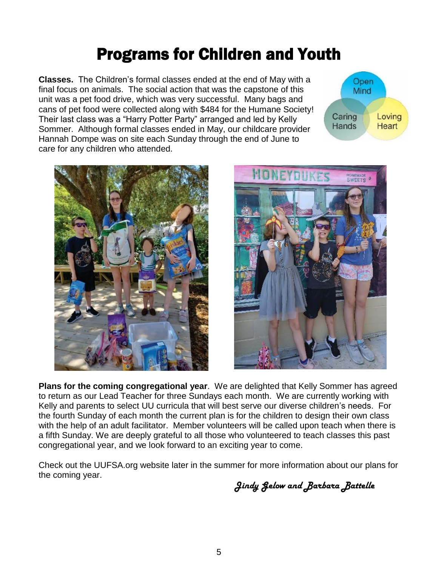## Programs for Children and Youth

**Classes.** The Children's formal classes ended at the end of May with a final focus on animals. The social action that was the capstone of this unit was a pet food drive, which was very successful. Many bags and cans of pet food were collected along with \$484 for the Humane Society! Their last class was a "Harry Potter Party" arranged and led by Kelly Sommer. Although formal classes ended in May, our childcare provider Hannah Dompe was on site each Sunday through the end of June to care for any children who attended.







**Plans for the coming congregational year**. We are delighted that Kelly Sommer has agreed to return as our Lead Teacher for three Sundays each month. We are currently working with Kelly and parents to select UU curricula that will best serve our diverse children's needs. For the fourth Sunday of each month the current plan is for the children to design their own class with the help of an adult facilitator. Member volunteers will be called upon teach when there is a fifth Sunday. We are deeply grateful to all those who volunteered to teach classes this past congregational year, and we look forward to an exciting year to come.

Check out the UUFSA.org website later in the summer for more information about our plans for the coming year.

*Jindy Gelow and Barbara Battelle*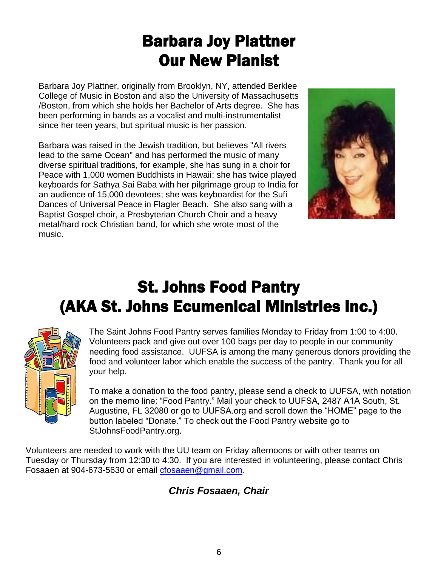# Barbara Joy Plattner Our New Pianist

Barbara Joy Plattner, originally from Brooklyn, NY, attended Berklee College of Music in Boston and also the University of Massachusetts /Boston, from which she holds her Bachelor of Arts degree. She has been performing in bands as a vocalist and multi-instrumentalist since her teen years, but spiritual music is her passion.

Barbara was raised in the Jewish tradition, but believes "All rivers lead to the same Ocean" and has performed the music of many diverse spiritual traditions, for example, she has sung in a choir for Peace with 1,000 women Buddhists in Hawaii; she has twice played keyboards for Sathya Sai Baba with her pilgrimage group to India for an audience of 15,000 devotees; she was keyboardist for the Sufi Dances of Universal Peace in Flagler Beach. She also sang with a Baptist Gospel choir, a Presbyterian Church Choir and a heavy metal/hard rock Christian band, for which she wrote most of the music.



# St. Johns Food Pantry (AKA St. Johns Ecumenical Ministries Inc.)



The Saint Johns Food Pantry serves families Monday to Friday from 1:00 to 4:00. Volunteers pack and give out over 100 bags per day to people in our community needing food assistance. UUFSA is among the many generous donors providing the food and volunteer labor which enable the success of the pantry. Thank you for all your help.

To make a donation to the food pantry, please send a check to UUFSA, with notation on the memo line: "Food Pantry." Mail your check to UUFSA, 2487 A1A South, St. Augustine, FL 32080 or go to UUFSA.org and scroll down the "HOME" page to the button labeled "Donate." To check out the Food Pantry website go to StJohnsFoodPantry.org.

Volunteers are needed to work with the UU team on Friday afternoons or with other teams on Tuesday or Thursday from 12:30 to 4:30. If you are interested in volunteering, please contact Chris Fosaaen at 904-673-5630 or email [cfosaaen@gmail.com.](mailto:cfosaaen@gmail.com)

#### *Chris Fosaaen, Chair*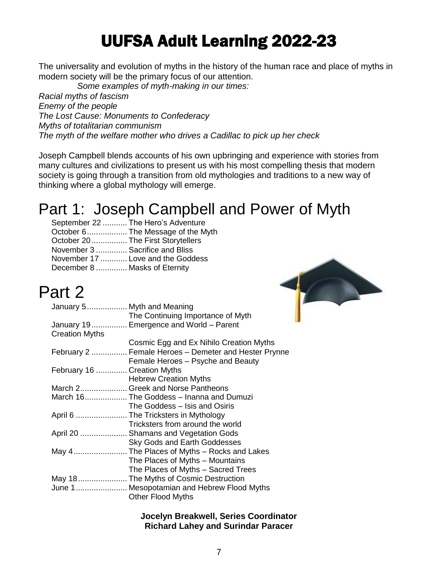# UUFSA Adult Learning 2022-23

The universality and evolution of myths in the history of the human race and place of myths in modern society will be the primary focus of our attention.

*Some examples of myth-making in our times:*

*Racial myths of fascism Enemy of the people The Lost Cause: Monuments to Confederacy Myths of totalitarian communism The myth of the welfare mother who drives a Cadillac to pick up her check*

Joseph Campbell blends accounts of his own upbringing and experience with stories from many cultures and civilizations to present us with his most compelling thesis that modern society is going through a transition from old mythologies and traditions to a new way of thinking where a global mythology will emerge.

### Part 1: Joseph Campbell and Power of Myth

|                                    | September 22  The Hero's Adventure |
|------------------------------------|------------------------------------|
|                                    | October 6 The Message of the Myth  |
| October 20  The First Storytellers |                                    |
| November 3  Sacrifice and Bliss    |                                    |
|                                    | November 17  Love and the Goddess  |
| December 8  Masks of Eternity      |                                    |
|                                    |                                    |

### Part 2

#### **Jocelyn Breakwell, Series Coordinator Richard Lahey and Surindar Paracer**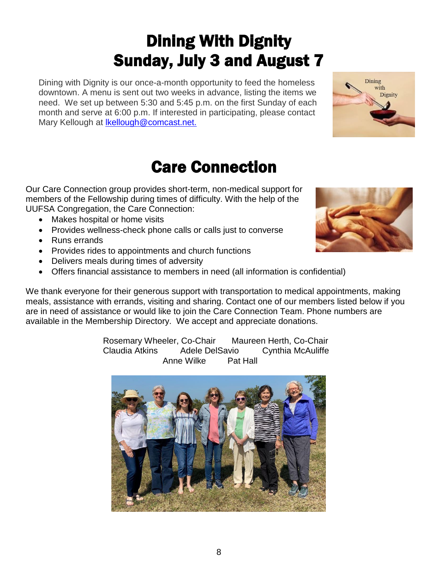# Dining With Dignity Sunday, July 3 and August 7

Dining with Dignity is our once-a-month opportunity to feed the homeless downtown. A menu is sent out two weeks in advance, listing the items we need. We set up between 5:30 and 5:45 p.m. on the first Sunday of each month and serve at 6:00 p.m. If interested in participating, please contact Mary Kellough at Ikellough@comcast.net.

# Care Connection

Our Care Connection group provides short-term, non-medical support for members of the Fellowship during times of difficulty. With the help of the UUFSA Congregation, the Care Connection:

- Makes hospital or home visits
- Provides wellness-check phone calls or calls just to converse
- Runs errands
- Provides rides to appointments and church functions
- Delivers meals during times of adversity
- Offers financial assistance to members in need (all information is confidential)

We thank everyone for their generous support with transportation to medical appointments, making meals, assistance with errands, visiting and sharing. Contact one of our members listed below if you are in need of assistance or would like to join the Care Connection Team. Phone numbers are available in the Membership Directory. We accept and appreciate donations.

> Rosemary Wheeler, Co-Chair Maureen Herth, Co-Chair Claudia Atkins Adele DelSavio Cynthia McAuliffe Anne Wilke Pat Hall





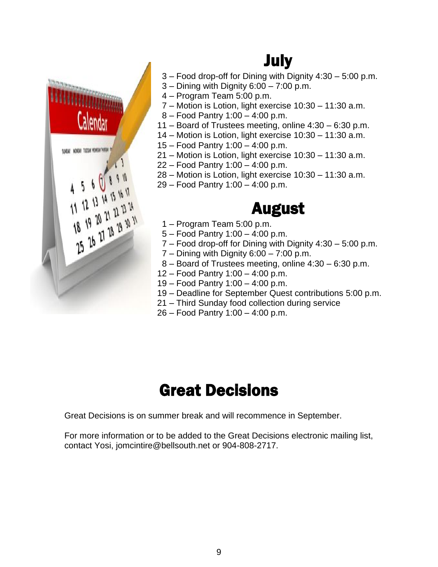

# July

- 3 Food drop-off for Dining with Dignity 4:30 5:00 p.m.
- $3 -$  Dining with Dignity  $6:00 7:00$  p.m.
- 4 Program Team 5:00 p.m.
- 7 Motion is Lotion, light exercise 10:30 11:30 a.m.
- 8 Food Pantry 1:00 4:00 p.m.
- 11 Board of Trustees meeting, online 4:30 6:30 p.m.
- 14 Motion is Lotion, light exercise 10:30 11:30 a.m.
- 15 Food Pantry 1:00 4:00 p.m.
- 21 Motion is Lotion, light exercise 10:30 11:30 a.m.
- 22 Food Pantry 1:00 4:00 p.m.
- 28 Motion is Lotion, light exercise 10:30 11:30 a.m.
- 29 Food Pantry 1:00 4:00 p.m.

### August

- 1 Program Team 5:00 p.m.
- 5 Food Pantry 1:00 4:00 p.m.
- 7 Food drop-off for Dining with Dignity 4:30 5:00 p.m.
- 7 Dining with Dignity 6:00 7:00 p.m.
- 8 Board of Trustees meeting, online 4:30 6:30 p.m.
- 12 Food Pantry 1:00 4:00 p.m.
- 19 Food Pantry 1:00 4:00 p.m.
- 19 Deadline for September Quest contributions 5:00 p.m.
- 21 Third Sunday food collection during service
- 26 Food Pantry 1:00 4:00 p.m.

# Great Decisions

Great Decisions is on summer break and will recommence in September.

For more information or to be added to the Great Decisions electronic mailing list, contact Yosi, jomcintire@bellsouth.net or 904-808-2717.